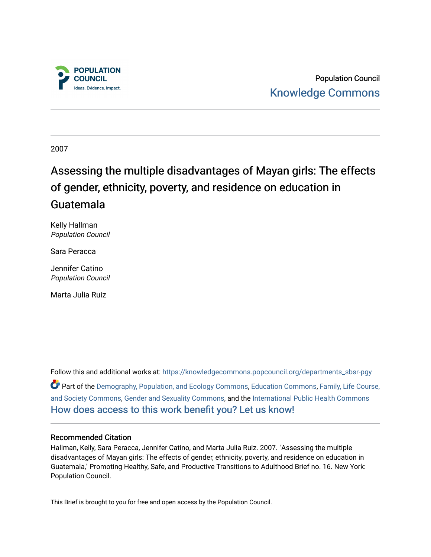

Population Council [Knowledge Commons](https://knowledgecommons.popcouncil.org/) 

2007

## Assessing the multiple disadvantages of Mayan girls: The effects of gender, ethnicity, poverty, and residence on education in Guatemala

Kelly Hallman Population Council

Sara Peracca

Jennifer Catino Population Council

Marta Julia Ruiz

Follow this and additional works at: [https://knowledgecommons.popcouncil.org/departments\\_sbsr-pgy](https://knowledgecommons.popcouncil.org/departments_sbsr-pgy?utm_source=knowledgecommons.popcouncil.org%2Fdepartments_sbsr-pgy%2F814&utm_medium=PDF&utm_campaign=PDFCoverPages)  Part of the [Demography, Population, and Ecology Commons,](https://network.bepress.com/hgg/discipline/418?utm_source=knowledgecommons.popcouncil.org%2Fdepartments_sbsr-pgy%2F814&utm_medium=PDF&utm_campaign=PDFCoverPages) [Education Commons,](https://network.bepress.com/hgg/discipline/784?utm_source=knowledgecommons.popcouncil.org%2Fdepartments_sbsr-pgy%2F814&utm_medium=PDF&utm_campaign=PDFCoverPages) [Family, Life Course,](https://network.bepress.com/hgg/discipline/419?utm_source=knowledgecommons.popcouncil.org%2Fdepartments_sbsr-pgy%2F814&utm_medium=PDF&utm_campaign=PDFCoverPages)  [and Society Commons](https://network.bepress.com/hgg/discipline/419?utm_source=knowledgecommons.popcouncil.org%2Fdepartments_sbsr-pgy%2F814&utm_medium=PDF&utm_campaign=PDFCoverPages), [Gender and Sexuality Commons,](https://network.bepress.com/hgg/discipline/420?utm_source=knowledgecommons.popcouncil.org%2Fdepartments_sbsr-pgy%2F814&utm_medium=PDF&utm_campaign=PDFCoverPages) and the [International Public Health Commons](https://network.bepress.com/hgg/discipline/746?utm_source=knowledgecommons.popcouncil.org%2Fdepartments_sbsr-pgy%2F814&utm_medium=PDF&utm_campaign=PDFCoverPages)  [How does access to this work benefit you? Let us know!](https://pcouncil.wufoo.com/forms/open-access-to-population-council-research/)

## Recommended Citation

Hallman, Kelly, Sara Peracca, Jennifer Catino, and Marta Julia Ruiz. 2007. "Assessing the multiple disadvantages of Mayan girls: The effects of gender, ethnicity, poverty, and residence on education in Guatemala," Promoting Healthy, Safe, and Productive Transitions to Adulthood Brief no. 16. New York: Population Council.

This Brief is brought to you for free and open access by the Population Council.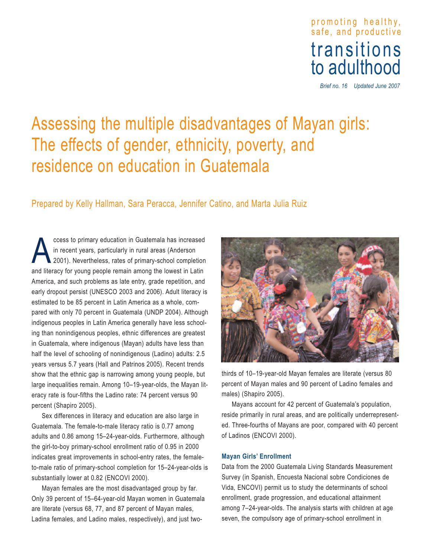## pro moti ng hea lthy, safe, and productive transitions<br>to adulthood

*Brief no. 16 Updated June 2007*

# Assessing the multiple disadvantages of Mayan girls: The effects of gender, ethnicity, poverty, and residence on education in Guatemala

## Prepared by Kelly Hallman, Sara Peracca, Jennifer Catino, and Marta Julia Ruiz

ccess to primary education in Guatemala has increased in recent years, particularly in rural areas (Anderson 2001). Nevertheless, rates of primary-school completion and literacy for young people remain among the lowest in Latin America, and such problems as late entry, grade repetition, and early dropout persist (UNESCO 2003 and 2006). Adult literacy is estimated to be 85 percent in Latin America as a whole, compared with only 70 percent in Guatemala (UNDP 2004). Although indigenous peoples in Latin America generally have less schooling than nonindigenous peoples, ethnic differences are greatest in Guatemala, where indigenous (Mayan) adults have less than half the level of schooling of nonindigenous (Ladino) adults: 2.5 years versus 5.7 years (Hall and Patrinos 2005). Recent trends show that the ethnic gap is narrowing among young people, but large inequalities remain. Among 10–19-year-olds, the Mayan literacy rate is four-fifths the Ladino rate: 74 percent versus 90 percent (Shapiro 2005).

Sex differences in literacy and education are also large in Guatemala. The female-to-male literacy ratio is 0.77 among adults and 0.86 among 15–24-year-olds. Furthermore, although the girl-to-boy primary-school enrollment ratio of 0.95 in 2000 indicates great improvements in school-entry rates, the femaleto-male ratio of primary-school completion for 15–24-year-olds is substantially lower at 0.82 (ENCOVI 2000).

Mayan females are the most disadvantaged group by far. Only 39 percent of 15–64-year-old Mayan women in Guatemala are literate (versus 68, 77, and 87 percent of Mayan males, Ladina females, and Ladino males, respectively), and just two-



thirds of 10–19-year-old Mayan females are literate (versus 80 percent of Mayan males and 90 percent of Ladino females and males) (Shapiro 2005).

Mayans account for 42 percent of Guatemala's population, reside primarily in rural areas, and are politically underrepresented. Three-fourths of Mayans are poor, compared with 40 percent of Ladinos (ENCOVI 2000).

## **Mayan Girls' Enrollment**

Data from the 2000 Guatemala Living Standards Measurement Survey (in Spanish, Encuesta Nacional sobre Condiciones de Vida, ENCOVI) permit us to study the determinants of school enrollment, grade progression, and educational attainment among 7–24-year-olds. The analysis starts with children at age seven, the compulsory age of primary-school enrollment in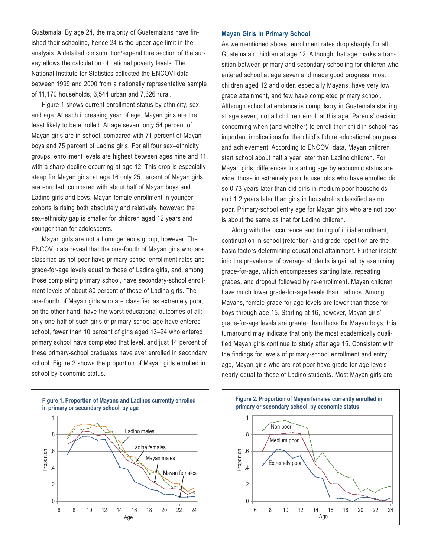Guatemala. By age 24, the majority of Guatemalans have finished their schooling, hence 24 is the upper age limit in the analysis. A detailed consumption/expenditure section of the survey allows the calculation of national poverty levels. The National Institute for Statistics collected the ENCOVI data between 1999 and 2000 from a nationally representative sample of 11,170 households, 3,544 urban and 7,626 rural.

Figure 1 shows current enrollment status by ethnicity, sex, and age. At each increasing year of age, Mayan girls are the least likely to be enrolled. At age seven, only 54 percent of Mayan girls are in school, compared with 71 percent of Mayan boys and 75 percent of Ladina girls. For all four sex–ethnicity groups, enrollment levels are highest between ages nine and 11, with a sharp decline occurring at age 12. This drop is especially steep for Mayan girls: at age 16 only 25 percent of Mayan girls are enrolled, compared with about half of Mayan boys and Ladino girls and boys. Mayan female enrollment in younger cohorts is rising both absolutely and relatively, however: the sex–ethnicity gap is smaller for children aged 12 years and younger than for adolescents.

Mayan girls are not a homogeneous group, however. The ENCOVI data reveal that the one-fourth of Mayan girls who are classified as not poor have primary-school enrollment rates and grade-for-age levels equal to those of Ladina girls, and, among those completing primary school, have secondary-school enrollment levels of about 80 percent of those of Ladina girls. The one-fourth of Mayan girls who are classified as extremely poor, on the other hand, have the worst educational outcomes of all: only one-half of such girls of primary-school age have entered school, fewer than 10 percent of girls aged 13–24 who entered primary school have completed that level, and just 14 percent of these primary-school graduates have ever enrolled in secondary school. Figure 2 shows the proportion of Mayan girls enrolled in school by economic status.

## 1. Proportion of Mayans and Ladinos currently enrolled<br>hary or secondary school, by age<br>Ladino males<br>Ladino males<br>Mayan females<br>Mayan males<br>Mayan females<br>Mayan females<br>Mayan females<br>Age **Figure 1. Proportion of Mayans and Ladinos currently enrolled in primary or secondary school, by age**  $\mathbf{1}$ Ladino males .8 Ladina females .6 0 Proportion Mayan males .4 Mayan females .2 Age

#### **Mayan Girls in Primary School**

As we mentioned above, enrollment rates drop sharply for all Guatemalan children at age 12. Although that age marks a transition between primary and secondary schooling for children who entered school at age seven and made good progress, most children aged 12 and older, especially Mayans, have very low grade attainment, and few have completed primary school. Although school attendance is compulsory in Guatemala starting at age seven, not all children enroll at this age. Parents' decision concerning when (and whether) to enroll their child in school has important implications for the child's future educational progress and achievement. According to ENCOVI data, Mayan children start school about half a year later than Ladino children. For Mayan girls, differences in starting age by economic status are wide: those in extremely poor households who have enrolled did so 0.73 years later than did girls in medium-poor households and 1.2 years later than girls in households classified as not poor. Primary-school entry age for Mayan girls who are not poor is about the same as that for Ladino children.

Along with the occurrence and timing of initial enrollment, continuation in school (retention) and grade repetition are the basic factors determining educational attainment. Further insight into the prevalence of overage students is gained by examining grade-for-age, which encompasses starting late, repeating grades, and dropout followed by re-enrollment. Mayan children have much lower grade-for-age levels than Ladinos. Among Mayans, female grade-for-age levels are lower than those for boys through age 15. Starting at 16, however, Mayan girls' grade-for-age levels are greater than those for Mayan boys; this turnaround may indicate that only the most academically qualified Mayan girls continue to study after age 15. Consistent with the findings for levels of primary-school enrollment and entry age, Mayan girls who are not poor have grade-for-age levels nearly equal to those of Ladino students. Most Mayan girls are

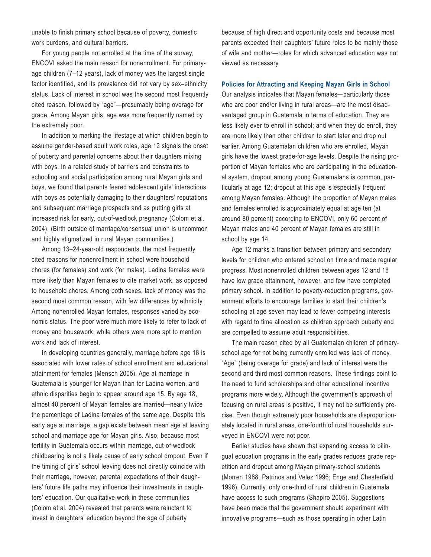unable to finish primary school because of poverty, domestic work burdens, and cultural barriers.

For young people not enrolled at the time of the survey, ENCOVI asked the main reason for nonenrollment. For primaryage children (7–12 years), lack of money was the largest single factor identified, and its prevalence did not vary by sex–ethnicity status. Lack of interest in school was the second most frequently cited reason, followed by "age"—presumably being overage for grade. Among Mayan girls, age was more frequently named by the extremely poor.

In addition to marking the lifestage at which children begin to assume gender-based adult work roles, age 12 signals the onset of puberty and parental concerns about their daughters mixing with boys. In a related study of barriers and constraints to schooling and social participation among rural Mayan girls and boys, we found that parents feared adolescent girls' interactions with boys as potentially damaging to their daughters' reputations and subsequent marriage prospects and as putting girls at increased risk for early, out-of-wedlock pregnancy (Colom et al. 2004). (Birth outside of marriage/consensual union is uncommon and highly stigmatized in rural Mayan communities.)

Among 13–24-year-old respondents, the most frequently cited reasons for nonenrollment in school were household chores (for females) and work (for males). Ladina females were more likely than Mayan females to cite market work, as opposed to household chores. Among both sexes, lack of money was the second most common reason, with few differences by ethnicity. Among nonenrolled Mayan females, responses varied by economic status. The poor were much more likely to refer to lack of money and housework, while others were more apt to mention work and lack of interest.

In developing countries generally, marriage before age 18 is associated with lower rates of school enrollment and educational attainment for females (Mensch 2005). Age at marriage in Guatemala is younger for Mayan than for Ladina women, and ethnic disparities begin to appear around age 15. By age 18, almost 40 percent of Mayan females are married—nearly twice the percentage of Ladina females of the same age. Despite this early age at marriage, a gap exists between mean age at leaving school and marriage age for Mayan girls. Also, because most fertility in Guatemala occurs within marriage, out-of-wedlock childbearing is not a likely cause of early school dropout. Even if the timing of girls' school leaving does not directly coincide with their marriage, however, parental expectations of their daughters' future life paths may influence their investments in daughters' education. Our qualitative work in these communities (Colom et al. 2004) revealed that parents were reluctant to invest in daughters' education beyond the age of puberty

because of high direct and opportunity costs and because most parents expected their daughters' future roles to be mainly those of wife and mother—roles for which advanced education was not viewed as necessary.

### **Policies for Attracting and Keeping Mayan Girls in School**

Our analysis indicates that Mayan females—particularly those who are poor and/or living in rural areas—are the most disadvantaged group in Guatemala in terms of education. They are less likely ever to enroll in school; and when they do enroll, they are more likely than other children to start later and drop out earlier. Among Guatemalan children who are enrolled, Mayan girls have the lowest grade-for-age levels. Despite the rising proportion of Mayan females who are participating in the educational system, dropout among young Guatemalans is common, particularly at age 12; dropout at this age is especially frequent among Mayan females. Although the proportion of Mayan males and females enrolled is approximately equal at age ten (at around 80 percent) according to ENCOVI, only 60 percent of Mayan males and 40 percent of Mayan females are still in school by age 14.

Age 12 marks a transition between primary and secondary levels for children who entered school on time and made regular progress. Most nonenrolled children between ages 12 and 18 have low grade attainment, however, and few have completed primary school. In addition to poverty-reduction programs, government efforts to encourage families to start their children's schooling at age seven may lead to fewer competing interests with regard to time allocation as children approach puberty and are compelled to assume adult responsibilities.

The main reason cited by all Guatemalan children of primaryschool age for not being currently enrolled was lack of money. "Age" (being overage for grade) and lack of interest were the second and third most common reasons. These findings point to the need to fund scholarships and other educational incentive programs more widely. Although the government's approach of focusing on rural areas is positive, it may not be sufficiently precise. Even though extremely poor households are disproportionately located in rural areas, one-fourth of rural households surveyed in ENCOVI were not poor.

Earlier studies have shown that expanding access to bilingual education programs in the early grades reduces grade repetition and dropout among Mayan primary-school students (Morren 1988; Patrinos and Velez 1996; Enge and Chesterfield 1996). Currently, only one-third of rural children in Guatemala have access to such programs (Shapiro 2005). Suggestions have been made that the government should experiment with innovative programs—such as those operating in other Latin